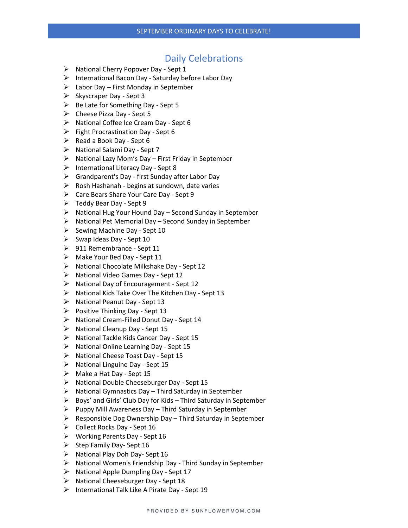### Daily Celebrations

- ➢ National Cherry Popover Day Sept 1
- ➢ International Bacon Day Saturday before Labor Day
- $\triangleright$  Labor Day First Monday in September
- ➢ Skyscraper Day Sept 3
- $\triangleright$  Be Late for Something Day Sept 5
- $\triangleright$  Cheese Pizza Day Sept 5
- ➢ National Coffee Ice Cream Day Sept 6
- ➢ Fight Procrastination Day Sept 6
- $\triangleright$  Read a Book Day Sept 6
- ➢ National Salami Day Sept 7
- ➢ National Lazy Mom's Day First Friday in September
- $\triangleright$  International Literacy Day Sept 8
- ➢ Grandparent's Day first Sunday after Labor Day
- ➢ Rosh Hashanah begins at sundown, date varies
- ➢ Care Bears Share Your Care Day Sept 9
- $\triangleright$  Teddy Bear Day Sept 9
- ➢ National Hug Your Hound Day Second Sunday in September
- ➢ National Pet Memorial Day Second Sunday in September
- ➢ Sewing Machine Day Sept 10
- $\triangleright$  Swap Ideas Day Sept 10
- ➢ 911 Remembrance Sept 11
- ➢ Make Your Bed Day Sept 11
- ➢ National Chocolate Milkshake Day Sept 12
- ➢ National Video Games Day Sept 12
- ➢ National Day of Encouragement Sept 12
- ➢ National Kids Take Over The Kitchen Day Sept 13
- ➢ National Peanut Day Sept 13
- ➢ Positive Thinking Day Sept 13
- ➢ National Cream-Filled Donut Day Sept 14
- ➢ National Cleanup Day Sept 15
- ➢ National Tackle Kids Cancer Day Sept 15
- ➢ National Online Learning Day Sept 15
- ➢ National Cheese Toast Day Sept 15
- $\triangleright$  National Linguine Day Sept 15
- ➢ Make a Hat Day Sept 15
- ➢ National Double Cheeseburger Day Sept 15
- ➢ National Gymnastics Day Third Saturday in September
- $\triangleright$  Boys' and Girls' Club Day for Kids Third Saturday in September
- $\triangleright$  Puppy Mill Awareness Day Third Saturday in September
- $\triangleright$  Responsible Dog Ownership Day Third Saturday in September
- ➢ Collect Rocks Day Sept 16
- ➢ Working Parents Day Sept 16
- $\triangleright$  Step Family Day-Sept 16
- ➢ National Play Doh Day- Sept 16
- ➢ National Women's Friendship Day Third Sunday in September
- ➢ National Apple Dumpling Day Sept 17
- ➢ National Cheeseburger Day Sept 18
- ➢ International Talk Like A Pirate Day Sept 19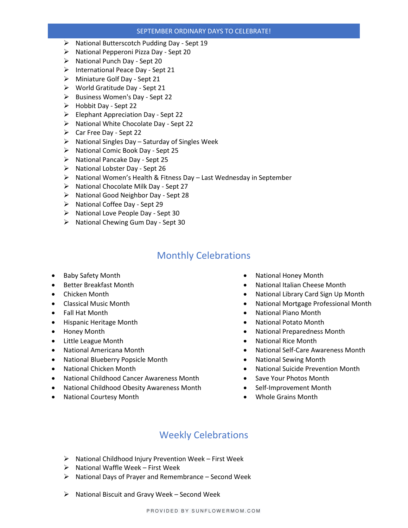### SEPTEMBER ORDINARY DAYS TO CELEBRATE!

- ➢ National Butterscotch Pudding Day Sept 19
- ➢ National Pepperoni Pizza Day Sept 20
- ➢ National Punch Day Sept 20
- ➢ International Peace Day Sept 21
- ➢ Miniature Golf Day Sept 21
- ➢ World Gratitude Day Sept 21
- ➢ Business Women's Day Sept 22
- ➢ Hobbit Day Sept 22
- ➢ Elephant Appreciation Day Sept 22
- ➢ National White Chocolate Day Sept 22
- ➢ Car Free Day Sept 22
- $\triangleright$  National Singles Day Saturday of Singles Week
- ➢ National Comic Book Day Sept 25
- ➢ National Pancake Day Sept 25
- ➢ National Lobster Day Sept 26
- $\triangleright$  National Women's Health & Fitness Day Last Wednesday in September
- ➢ National Chocolate Milk Day Sept 27
- ➢ National Good Neighbor Day Sept 28
- ➢ National Coffee Day Sept 29
- ➢ National Love People Day Sept 30
- ➢ National Chewing Gum Day Sept 30

## Monthly Celebrations

- Baby Safety Month
- Better Breakfast Month
- Chicken Month
- Classical Music Month
- Fall Hat Month
- Hispanic Heritage Month
- Honey Month
- Little League Month
- National Americana Month
- National Blueberry Popsicle Month
- National Chicken Month
- National Childhood Cancer Awareness Month
- National Childhood Obesity Awareness Month
- National Courtesy Month
- National Honey Month
- National Italian Cheese Month
- National Library Card Sign Up Month
- National Mortgage Professional Month
- National Piano Month
- National Potato Month
- National Preparedness Month
- National Rice Month
- National Self-Care Awareness Month
- National Sewing Month
- National Suicide Prevention Month
- Save Your Photos Month
- Self-Improvement Month
- Whole Grains Month

# Weekly Celebrations

- ➢ National Childhood Injury Prevention Week First Week
- ➢ National Waffle Week First Week
- ➢ National Days of Prayer and Remembrance Second Week
- ➢ National Biscuit and Gravy Week Second Week